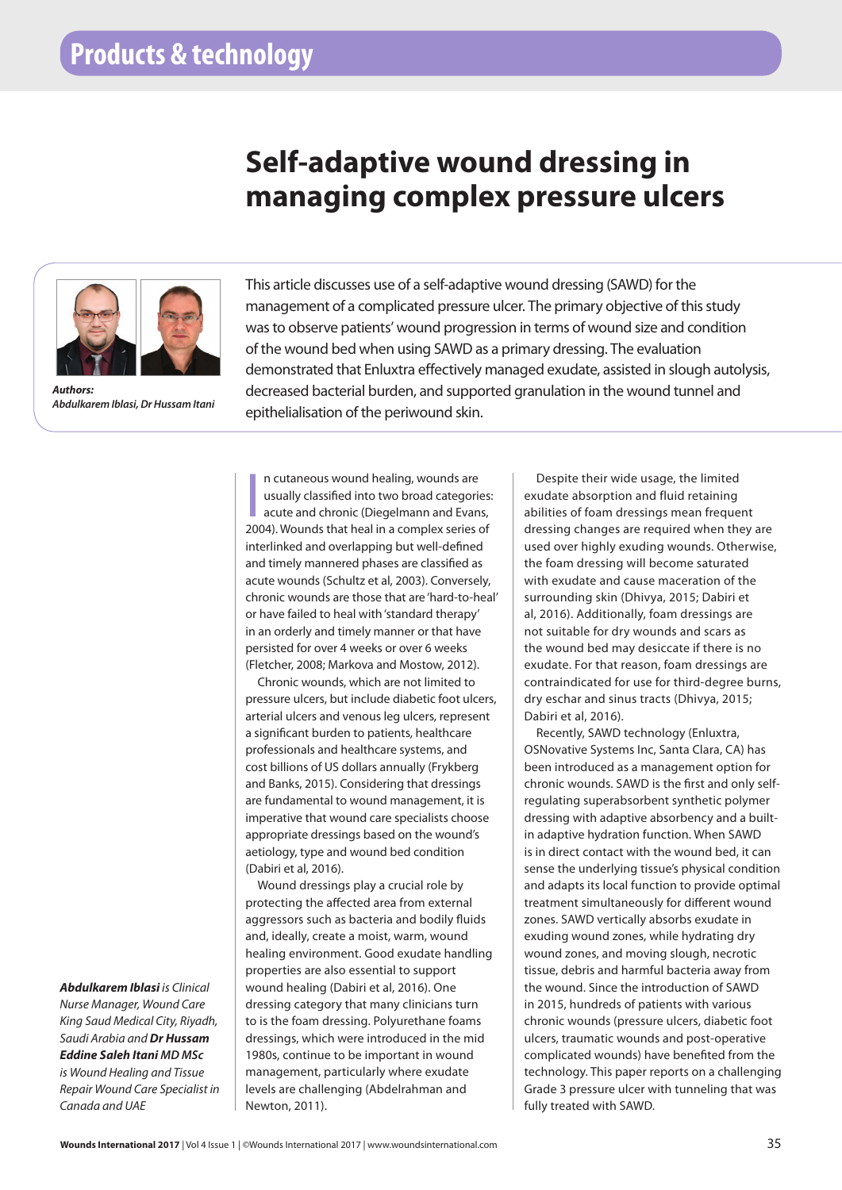# **Self-adaptive wound dressing in managing complex pressure ulcers**



*Authors: Authors: xxxxx Abdulkarem Iblasi, Dr Hussam Itani*

Intro This article discusses use of a self-adaptive wound dressing (SAWD) for the management of a complicated pressure ulcer. The primary objective of this study was to observe patients' wound progression in terms of wound size and condition of the wound bed when using SAWD as a primary dressing. The evaluation demonstrated that Enluxtra effectively managed exudate, assisted in slough autolysis, decreased bacterial burden, and supported granulation in the wound tunnel and epithelialisation of the periwound skin.

In cutaneous wound healing, wounds are<br>
usually classified into two broad categories<br>
acute and chronic (Diegelmann and Evans,<br>
2004). Wounds that heal in a complex series of n cutaneous wound healing, wounds are usually classified into two broad categories: acute and chronic (Diegelmann and Evans, interlinked and overlapping but well-defined and timely mannered phases are classified as acute wounds (Schultz et al, 2003). Conversely, chronic wounds are those that are 'hard-to-heal' or have failed to heal with 'standard therapy' in an orderly and timely manner or that have persisted for over 4 weeks or over 6 weeks (Fletcher, 2008; Markova and Mostow, 2012).

Chronic wounds, which are not limited to pressure ulcers, but include diabetic foot ulcers, arterial ulcers and venous leg ulcers, represent a significant burden to patients, healthcare professionals and healthcare systems, and cost billions of US dollars annually (Frykberg and Banks, 2015). Considering that dressings are fundamental to wound management, it is imperative that wound care specialists choose appropriate dressings based on the wound's aetiology, type and wound bed condition (Dabiri et al, 2016).

Wound dressings play a crucial role by protecting the affected area from external aggressors such as bacteria and bodily fluids and, ideally, create a moist, warm, wound healing environment. Good exudate handling properties are also essential to support wound healing (Dabiri et al, 2016). One dressing category that many clinicians turn to is the foam dressing. Polyurethane foams dressings, which were introduced in the mid 1980s, continue to be important in wound management, particularly where exudate levels are challenging (Abdelrahman and Newton, 2011).

Despite their wide usage, the limited exudate absorption and fluid retaining abilities of foam dressings mean frequent dressing changes are required when they are used over highly exuding wounds. Otherwise, the foam dressing will become saturated with exudate and cause maceration of the surrounding skin (Dhivya, 2015; Dabiri et al, 2016). Additionally, foam dressings are not suitable for dry wounds and scars as the wound bed may desiccate if there is no exudate. For that reason, foam dressings are contraindicated for use for third-degree burns, dry eschar and sinus tracts (Dhivya, 2015; Dabiri et al, 2016).

Recently, SAWD technology (Enluxtra, OSNovative Systems Inc, Santa Clara, CA) has been introduced as a management option for chronic wounds. SAWD is the first and only selfregulating superabsorbent synthetic polymer dressing with adaptive absorbency and a builtin adaptive hydration function. When SAWD is in direct contact with the wound bed, it can sense the underlying tissue's physical condition and adapts its local function to provide optimal treatment simultaneously for different wound zones. SAWD vertically absorbs exudate in exuding wound zones, while hydrating dry wound zones, and moving slough, necrotic tissue, debris and harmful bacteria away from the wound. Since the introduction of SAWD in 2015, hundreds of patients with various chronic wounds (pressure ulcers, diabetic foot ulcers, traumatic wounds and post-operative complicated wounds) have benefited from the technology. This paper reports on a challenging Grade 3 pressure ulcer with tunneling that was fully treated with SAWD.

*Abdulkarem Iblasi is Clinical Nurse Manager, Wound Care King Saud Medical City, Riyadh, Saudi Arabia and Dr Hussam Eddine Saleh Itani MD MSc is Wound Healing and Tissue Repair Wound Care Specialist in Canada and UAE*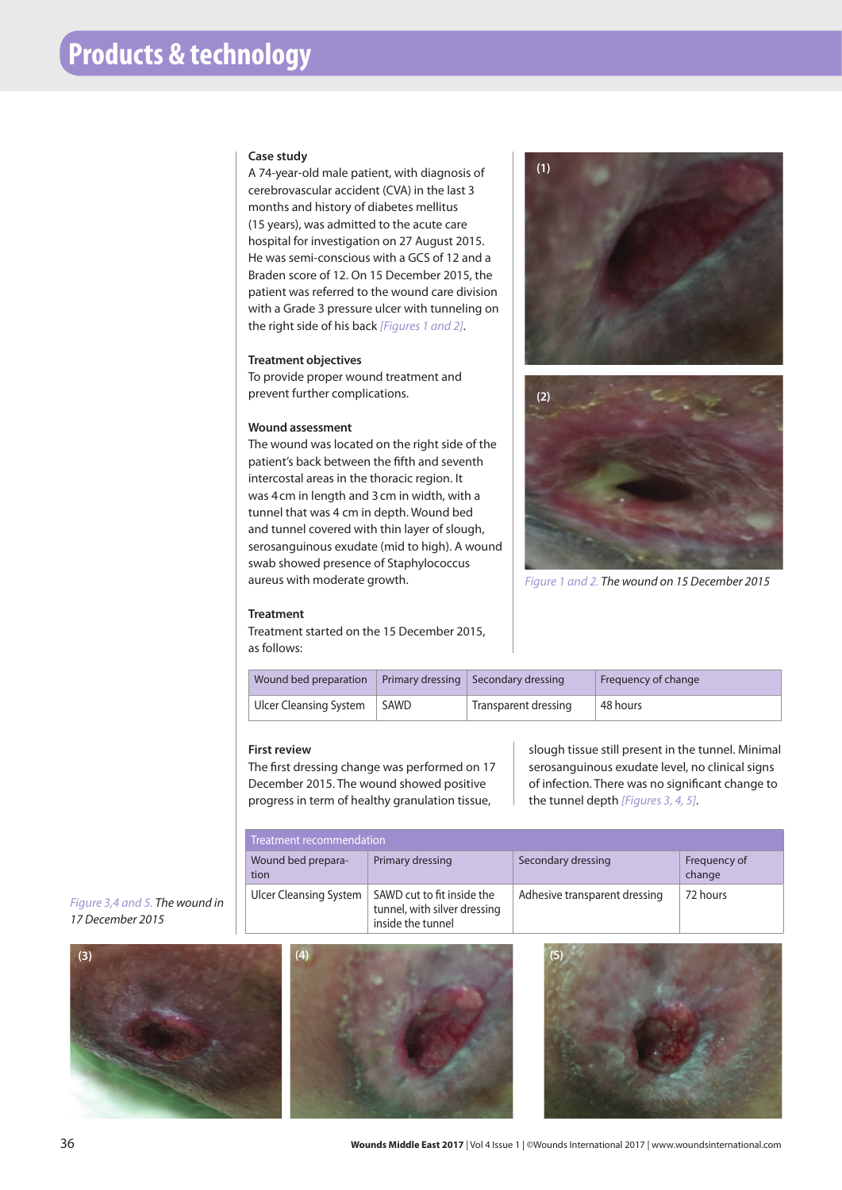## **Case study**

A 74-year-old male patient, with diagnosis of cerebrovascular accident (CVA) in the last 3 months and history of diabetes mellitus (15 years), was admitted to the acute care hospital for investigation on 27 August 2015. He was semi-conscious with a GCS of 12 and a Braden score of 12. On 15 December 2015, the patient was referred to the wound care division with a Grade 3 pressure ulcer with tunneling on the right side of his back *[Figures 1 and 2]*.

## **Treatment objectives**

To provide proper wound treatment and prevent further complications.

# **Wound assessment**

The wound was located on the right side of the patient's back between the fifth and seventh intercostal areas in the thoracic region. It was 4cm in length and 3cm in width, with a tunnel that was 4 cm in depth. Wound bed and tunnel covered with thin layer of slough, serosanguinous exudate (mid to high). A wound swab showed presence of Staphylococcus aureus with moderate growth.





*Figure 1 and 2. The wound on 15 December 2015* 

## **Treatment**

Treatment started on the 15 December 2015, as follows:

| Wound bed preparation  |      | Primary dressing Secondary dressing | Frequency of change |
|------------------------|------|-------------------------------------|---------------------|
| Ulcer Cleansing System | SAWD | Transparent dressing                | 48 hours            |

# **First review**

The first dressing change was performed on 17 December 2015. The wound showed positive progress in term of healthy granulation tissue,

slough tissue still present in the tunnel. Minimal serosanguinous exudate level, no clinical signs of infection. There was no significant change to the tunnel depth *[Figures 3, 4, 5]*.

| Treatment recommendation      |                                                                                 |                               |                        |  |
|-------------------------------|---------------------------------------------------------------------------------|-------------------------------|------------------------|--|
| Wound bed prepara-<br>tion    | Primary dressing                                                                | Secondary dressing            | Frequency of<br>change |  |
| <b>Ulcer Cleansing System</b> | SAWD cut to fit inside the<br>tunnel, with silver dressing<br>inside the tunnel | Adhesive transparent dressing | 72 hours               |  |

*Figure 3,4 and 5. The wound in 17 December 2015*